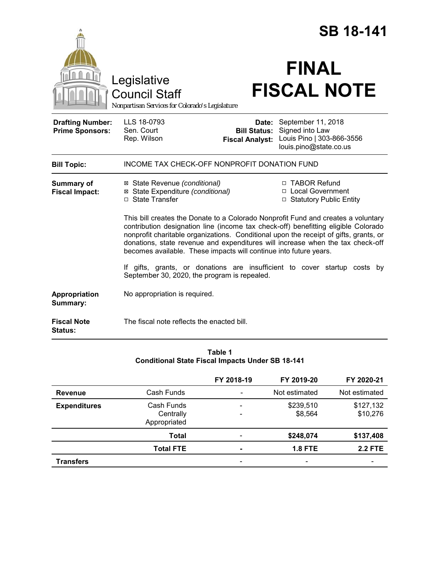|                                                   |                                                                                                                                                                                                                                                                                                                                                                                                                         |                                               | <b>SB 18-141</b>                                                                                   |  |  |
|---------------------------------------------------|-------------------------------------------------------------------------------------------------------------------------------------------------------------------------------------------------------------------------------------------------------------------------------------------------------------------------------------------------------------------------------------------------------------------------|-----------------------------------------------|----------------------------------------------------------------------------------------------------|--|--|
|                                                   | Legislative<br><b>Council Staff</b><br>Nonpartisan Services for Colorado's Legislature                                                                                                                                                                                                                                                                                                                                  |                                               | <b>FINAL</b><br><b>FISCAL NOTE</b>                                                                 |  |  |
| <b>Drafting Number:</b><br><b>Prime Sponsors:</b> | LLS 18-0793<br>Sen. Court<br>Rep. Wilson                                                                                                                                                                                                                                                                                                                                                                                | <b>Bill Status:</b><br><b>Fiscal Analyst:</b> | Date: September 11, 2018<br>Signed into Law<br>Louis Pino   303-866-3556<br>louis.pino@state.co.us |  |  |
| <b>Bill Topic:</b>                                | <b>INCOME TAX CHECK-OFF NONPROFIT DONATION FUND</b>                                                                                                                                                                                                                                                                                                                                                                     |                                               |                                                                                                    |  |  |
| Summary of<br><b>Fiscal Impact:</b>               | ⊠ State Revenue (conditional)<br>⊠ State Expenditure (conditional)<br>□ State Transfer                                                                                                                                                                                                                                                                                                                                  |                                               | □ TABOR Refund<br>□ Local Government<br>□ Statutory Public Entity                                  |  |  |
|                                                   | This bill creates the Donate to a Colorado Nonprofit Fund and creates a voluntary<br>contribution designation line (income tax check-off) benefitting eligible Colorado<br>nonprofit charitable organizations. Conditional upon the receipt of gifts, grants, or<br>donations, state revenue and expenditures will increase when the tax check-off<br>becomes available. These impacts will continue into future years. |                                               |                                                                                                    |  |  |
|                                                   | If gifts, grants, or donations are insufficient to cover startup costs by<br>September 30, 2020, the program is repealed.                                                                                                                                                                                                                                                                                               |                                               |                                                                                                    |  |  |
| Appropriation<br>Summary:                         | No appropriation is required.                                                                                                                                                                                                                                                                                                                                                                                           |                                               |                                                                                                    |  |  |
| <b>Fiscal Note</b><br>Status:                     | The fiscal note reflects the enacted bill.                                                                                                                                                                                                                                                                                                                                                                              |                                               |                                                                                                    |  |  |

## **Table 1 Conditional State Fiscal Impacts Under SB 18-141**

|                     |                                         | FY 2018-19                   | FY 2019-20           | FY 2020-21            |
|---------------------|-----------------------------------------|------------------------------|----------------------|-----------------------|
| <b>Revenue</b>      | Cash Funds                              | $\qquad \qquad \blacksquare$ | Not estimated        | Not estimated         |
| <b>Expenditures</b> | Cash Funds<br>Centrally<br>Appropriated |                              | \$239,510<br>\$8,564 | \$127,132<br>\$10,276 |
|                     | Total                                   |                              | \$248,074            | \$137,408             |
|                     | <b>Total FTE</b>                        |                              | <b>1.8 FTE</b>       | <b>2.2 FTE</b>        |
| Transfers           |                                         |                              |                      |                       |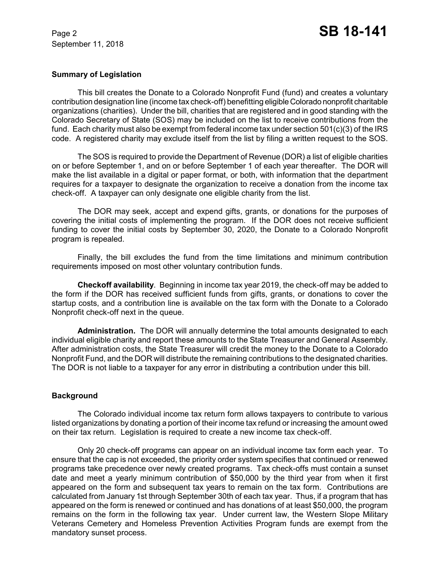September 11, 2018

### **Summary of Legislation**

This bill creates the Donate to a Colorado Nonprofit Fund (fund) and creates a voluntary contribution designation line (income tax check-off) benefitting eligible Colorado nonprofit charitable organizations (charities). Under the bill, charities that are registered and in good standing with the Colorado Secretary of State (SOS) may be included on the list to receive contributions from the fund. Each charity must also be exempt from federal income tax under section 501(c)(3) of the IRS code. A registered charity may exclude itself from the list by filing a written request to the SOS.

The SOS is required to provide the Department of Revenue (DOR) a list of eligible charities on or before September 1, and on or before September 1 of each year thereafter. The DOR will make the list available in a digital or paper format, or both, with information that the department requires for a taxpayer to designate the organization to receive a donation from the income tax check-off. A taxpayer can only designate one eligible charity from the list.

The DOR may seek, accept and expend gifts, grants, or donations for the purposes of covering the initial costs of implementing the program. If the DOR does not receive sufficient funding to cover the initial costs by September 30, 2020, the Donate to a Colorado Nonprofit program is repealed.

Finally, the bill excludes the fund from the time limitations and minimum contribution requirements imposed on most other voluntary contribution funds.

**Checkoff availability**. Beginning in income tax year 2019, the check-off may be added to the form if the DOR has received sufficient funds from gifts, grants, or donations to cover the startup costs, and a contribution line is available on the tax form with the Donate to a Colorado Nonprofit check-off next in the queue.

**Administration.** The DOR will annually determine the total amounts designated to each individual eligible charity and report these amounts to the State Treasurer and General Assembly. After administration costs, the State Treasurer will credit the money to the Donate to a Colorado Nonprofit Fund, and the DOR will distribute the remaining contributions to the designated charities. The DOR is not liable to a taxpayer for any error in distributing a contribution under this bill.

#### **Background**

The Colorado individual income tax return form allows taxpayers to contribute to various listed organizations by donating a portion of their income tax refund or increasing the amount owed on their tax return. Legislation is required to create a new income tax check-off.

Only 20 check-off programs can appear on an individual income tax form each year. To ensure that the cap is not exceeded, the priority order system specifies that continued or renewed programs take precedence over newly created programs. Tax check-offs must contain a sunset date and meet a yearly minimum contribution of \$50,000 by the third year from when it first appeared on the form and subsequent tax years to remain on the tax form. Contributions are calculated from January 1st through September 30th of each tax year. Thus, if a program that has appeared on the form is renewed or continued and has donations of at least \$50,000, the program remains on the form in the following tax year. Under current law, the Western Slope Military Veterans Cemetery and Homeless Prevention Activities Program funds are exempt from the mandatory sunset process.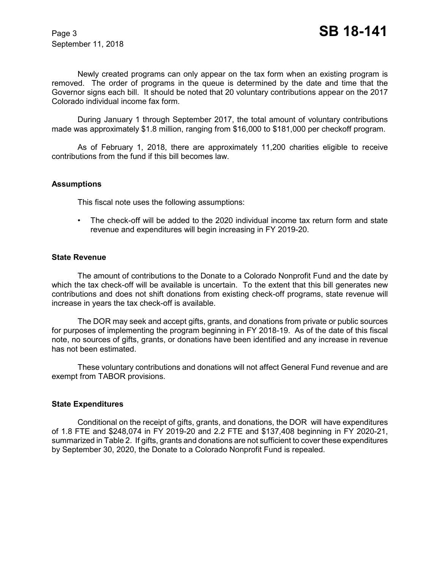September 11, 2018

Newly created programs can only appear on the tax form when an existing program is removed. The order of programs in the queue is determined by the date and time that the Governor signs each bill. It should be noted that 20 voluntary contributions appear on the 2017 Colorado individual income fax form.

During January 1 through September 2017, the total amount of voluntary contributions made was approximately \$1.8 million, ranging from \$16,000 to \$181,000 per checkoff program.

As of February 1, 2018, there are approximately 11,200 charities eligible to receive contributions from the fund if this bill becomes law.

#### **Assumptions**

This fiscal note uses the following assumptions:

• The check-off will be added to the 2020 individual income tax return form and state revenue and expenditures will begin increasing in FY 2019-20.

#### **State Revenue**

The amount of contributions to the Donate to a Colorado Nonprofit Fund and the date by which the tax check-off will be available is uncertain. To the extent that this bill generates new contributions and does not shift donations from existing check-off programs, state revenue will increase in years the tax check-off is available.

The DOR may seek and accept gifts, grants, and donations from private or public sources for purposes of implementing the program beginning in FY 2018-19. As of the date of this fiscal note, no sources of gifts, grants, or donations have been identified and any increase in revenue has not been estimated.

These voluntary contributions and donations will not affect General Fund revenue and are exempt from TABOR provisions.

#### **State Expenditures**

Conditional on the receipt of gifts, grants, and donations, the DOR will have expenditures of 1.8 FTE and \$248,074 in FY 2019-20 and 2.2 FTE and \$137,408 beginning in FY 2020-21, summarized in Table 2. If gifts, grants and donations are not sufficient to cover these expenditures by September 30, 2020, the Donate to a Colorado Nonprofit Fund is repealed.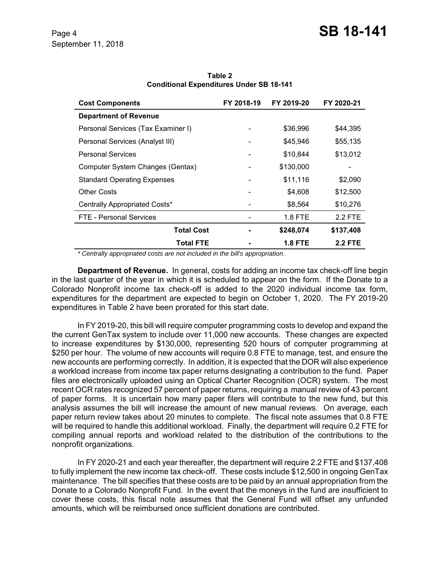# **Cost Components FY 2018-19 FY 2019-20 FY 2020-21 Department of Revenue** Personal Services (Tax Examiner I)  $\overline{36,996}$  \$44,395 Personal Services (Analyst III)  $$45,946$  \$55,135 Personal Services **1988 120 12 12 13:012 12:02 13:044** \$13,012 Computer System Changes (Gentax) - \$130,000 - Standard Operating Expenses  $\overline{\phantom{2}}$   $\overline{\phantom{2}}$   $\overline{\phantom{2}}$   $\overline{\phantom{2}}$   $\overline{\phantom{2}}$   $\overline{\phantom{2}}$   $\overline{\phantom{2}}$   $\overline{\phantom{2}}$   $\overline{\phantom{2}}$   $\overline{\phantom{2}}$   $\overline{\phantom{2}}$   $\overline{\phantom{2}}$   $\overline{\phantom{2}}$   $\overline{\phantom{2}}$   $\overline{\phantom{2}}$   $\overline{\phantom{2}}$   $\$ Other Costs 612,500 **612,500 62,608 512,500** Centrally Appropriated Costs\* The Costs of the State of the State State State State State State State State St FTE - Personal Services and the services of the services of the services of the services of the services of the services of the services of the services of the services of the services of the services of the services of th **Total Cost - \$248,074 \$137,408 Total FTE - 1.8 FTE 2.2 FTE**

**Table 2 Conditional Expenditures Under SB 18-141**

 *\* Centrally appropriated costs are not included in the bill's appropriation.*

**Department of Revenue.** In general, costs for adding an income tax check-off line begin in the last quarter of the year in which it is scheduled to appear on the form. If the Donate to a Colorado Nonprofit income tax check-off is added to the 2020 individual income tax form, expenditures for the department are expected to begin on October 1, 2020. The FY 2019-20 expenditures in Table 2 have been prorated for this start date.

In FY 2019-20, this bill will require computer programming costs to develop and expand the the current GenTax system to include over 11,000 new accounts. These changes are expected to increase expenditures by \$130,000, representing 520 hours of computer programming at \$250 per hour. The volume of new accounts will require 0.8 FTE to manage, test, and ensure the new accounts are performing correctly. In addition, it is expected that the DOR will also experience a workload increase from income tax paper returns designating a contribution to the fund. Paper files are electronically uploaded using an Optical Charter Recognition (OCR) system. The most recent OCR rates recognized 57 percent of paper returns, requiring a manual review of 43 percent of paper forms. It is uncertain how many paper filers will contribute to the new fund, but this analysis assumes the bill will increase the amount of new manual reviews. On average, each paper return review takes about 20 minutes to complete. The fiscal note assumes that 0.8 FTE will be required to handle this additional workload. Finally, the department will require 0.2 FTE for compiling annual reports and workload related to the distribution of the contributions to the nonprofit organizations.

In FY 2020-21 and each year thereafter, the department will require 2.2 FTE and \$137,408 to fully implement the new income tax check-off. These costs include \$12,500 in ongoing GenTax maintenance. The bill specifies that these costs are to be paid by an annual appropriation from the Donate to a Colorado Nonprofit Fund. In the event that the moneys in the fund are insufficient to cover these costs, this fiscal note assumes that the General Fund will offset any unfunded amounts, which will be reimbursed once sufficient donations are contributed.